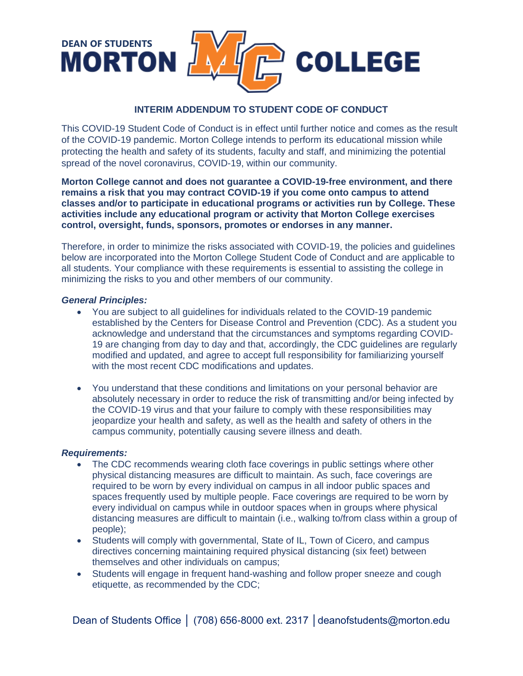

## **INTERIM ADDENDUM TO STUDENT CODE OF CONDUCT**

This COVID-19 Student Code of Conduct is in effect until further notice and comes as the result of the COVID-19 pandemic. Morton College intends to perform its educational mission while protecting the health and safety of its students, faculty and staff, and minimizing the potential spread of the novel coronavirus, COVID-19, within our community.

**Morton College cannot and does not guarantee a COVID-19-free environment, and there remains a risk that you may contract COVID-19 if you come onto campus to attend classes and/or to participate in educational programs or activities run by College. These activities include any educational program or activity that Morton College exercises control, oversight, funds, sponsors, promotes or endorses in any manner.**

Therefore, in order to minimize the risks associated with COVID-19, the policies and guidelines below are incorporated into the Morton College Student Code of Conduct and are applicable to all students. Your compliance with these requirements is essential to assisting the college in minimizing the risks to you and other members of our community.

## *General Principles:*

- You are subject to all guidelines for individuals related to the COVID-19 pandemic established by the Centers for Disease Control and Prevention (CDC). As a student you acknowledge and understand that the circumstances and symptoms regarding COVID-19 are changing from day to day and that, accordingly, the CDC guidelines are regularly modified and updated, and agree to accept full responsibility for familiarizing yourself with the most recent CDC modifications and updates.
- You understand that these conditions and limitations on your personal behavior are absolutely necessary in order to reduce the risk of transmitting and/or being infected by the COVID-19 virus and that your failure to comply with these responsibilities may jeopardize your health and safety, as well as the health and safety of others in the campus community, potentially causing severe illness and death.

## *Requirements:*

- The CDC recommends wearing cloth face coverings in public settings where other physical distancing measures are difficult to maintain. As such, face coverings are required to be worn by every individual on campus in all indoor public spaces and spaces frequently used by multiple people. Face coverings are required to be worn by every individual on campus while in outdoor spaces when in groups where physical distancing measures are difficult to maintain (i.e., walking to/from class within a group of people);
- Students will comply with governmental, State of IL, Town of Cicero, and campus directives concerning maintaining required physical distancing (six feet) between themselves and other individuals on campus;
- Students will engage in frequent hand-washing and follow proper sneeze and cough etiquette, as recommended by the CDC;